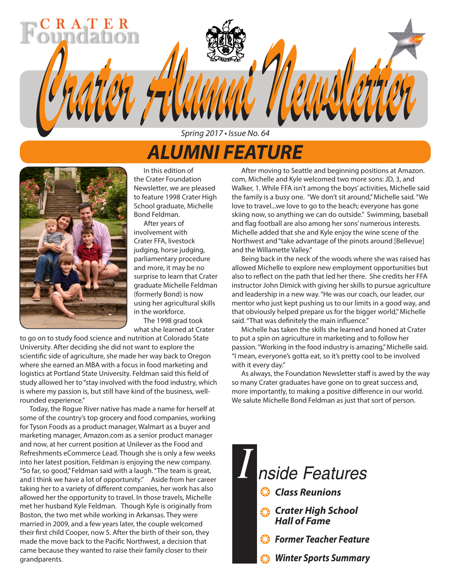# *ALUMNI FEATURE*

*Spring 2017 • Issue No. 64*

*Crater Alumni Newsletter Crater Alumni Newsletter*



R A T E

In this edition of the Crater Foundation Newsletter, we are pleased to feature 1998 Crater High School graduate, Michelle Bond Feldman.

After years of involvement with Crater FFA, livestock judging, horse judging, parliamentary procedure and more, it may be no surprise to learn that Crater graduate Michelle Feldman (formerly Bond) is now using her agricultural skills in the workforce.

The 1998 grad took what she learned at Crater

to go on to study food science and nutrition at Colorado State University. After deciding she did not want to explore the scientific side of agriculture, she made her way back to Oregon where she earned an MBA with a focus in food marketing and logistics at Portland State University. Feldman said this field of study allowed her to "stay involved with the food industry, which is where my passion is, but still have kind of the business, wellrounded experience."

Today, the Rogue River native has made a name for herself at some of the country's top grocery and food companies, working for Tyson Foods as a product manager, Walmart as a buyer and marketing manager, Amazon.com as a senior product manager and now, at her current position at Unilever as the Food and Refreshments eCommerce Lead. Though she is only a few weeks into her latest position, Feldman is enjoying the new company. "So far, so good," Feldman said with a laugh. "The team is great, and I think we have a lot of opportunity." Aside from her career taking her to a variety of different companies, her work has also allowed her the opportunity to travel. In those travels, Michelle met her husband Kyle Feldman. Though Kyle is originally from Boston, the two met while working in Arkansas. They were married in 2009, and a few years later, the couple welcomed their first child Cooper, now 5. After the birth of their son, they made the move back to the Pacific Northwest, a decision that came because they wanted to raise their family closer to their grandparents.

After moving to Seattle and beginning positions at Amazon. com, Michelle and Kyle welcomed two more sons: JD, 3, and Walker, 1. While FFA isn't among the boys' activities, Michelle said the family is a busy one. "We don't sit around," Michelle said. "We love to travel...we love to go to the beach; everyone has gone skiing now, so anything we can do outside." Swimming, baseball and flag football are also among her sons' numerous interests. Michelle added that she and Kyle enjoy the wine scene of the Northwest and "take advantage of the pinots around [Bellevue] and the Willamette Valley."

Being back in the neck of the woods where she was raised has allowed Michelle to explore new employment opportunities but also to reflect on the path that led her there. She credits her FFA instructor John Dimick with giving her skills to pursue agriculture and leadership in a new way. "He was our coach, our leader, our mentor who just kept pushing us to our limits in a good way, and that obviously helped prepare us for the bigger world," Michelle said. "That was definitely the main influence."

Michelle has taken the skills she learned and honed at Crater to put a spin on agriculture in marketing and to follow her passion. "Working in the food industry is amazing," Michelle said. "I mean, everyone's gotta eat, so it's pretty cool to be involved with it every day."

As always, the Foundation Newsletter staff is awed by the way so many Crater graduates have gone on to great success and, more importantly, to making a positive difference in our world. We salute Michelle Bond Feldman as just that sort of person.

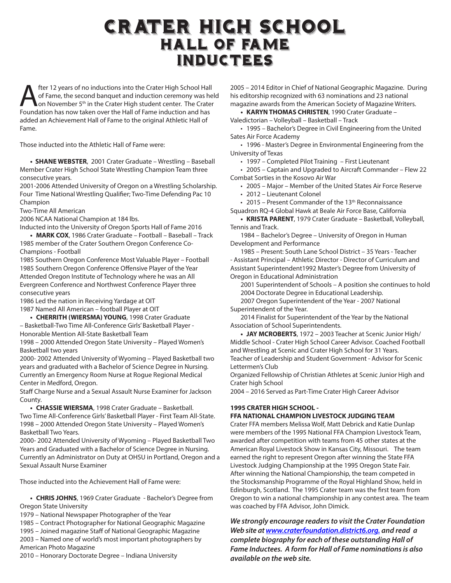## Crater High School Hall of Fame Inductees

**Alter 12 years of no inductions into the Crater High School Hall<br>of Fame, the second banquet and induction ceremony was he<br>compation has now taken over the Hall of Fame induction and has** of Fame, the second banquet and induction ceremony was held on November 5<sup>th</sup> in the Crater High student center. The Crater Foundation has now taken over the Hall of Fame induction and has added an Achievement Hall of Fame to the original Athletic Hall of Fame.

Those inducted into the Athletic Hall of Fame were:

**• SHANE WEBSTER**, 2001 Crater Graduate – Wrestling – Baseball Member Crater High School State Wrestling Champion Team three consecutive years.

2001-2006 Attended University of Oregon on a Wrestling Scholarship. Four Time National Wrestling Qualifier; Two-Time Defending Pac 10 Champion

Two-Time All American

2006 NCAA National Champion at 184 lbs.

Inducted into the University of Oregon Sports Hall of Fame 2016

**• MARK COX**, 1986 Crater Graduate – Football – Baseball – Track 1985 member of the Crater Southern Oregon Conference Co-Champions - Football

1985 Southern Oregon Conference Most Valuable Player – Football 1985 Southern Oregon Conference Offensive Player of the Year Attended Oregon Institute of Technology where he was an All Evergreen Conference and Northwest Conference Player three consecutive years

1986 Led the nation in Receiving Yardage at OIT

1987 Named All American – football Player at OIT

**• CHERRITH (WIERSMA) YOUNG**, 1998 Crater Graduate – Basketball-Two Time All-Conference Girls' Basketball Player - Honorable Mention All-State Basketball Team

1998 – 2000 Attended Oregon State University – Played Women's Basketball two years

2000- 2002 Attended University of Wyoming – Played Basketball two years and graduated with a Bachelor of Science Degree in Nursing. Currently an Emergency Room Nurse at Rogue Regional Medical Center in Medford, Oregon.

Staff Charge Nurse and a Sexual Assault Nurse Examiner for Jackson County.

**• CHASSIE WIERSMA**, 1998 Crater Graduate – Basketball. Two Time All-Conference Girls' Basketball Player - First Team All-State. 1998 – 2000 Attended Oregon State University – Played Women's Basketball Two Years.

2000- 2002 Attended University of Wyoming – Played Basketball Two Years and Graduated with a Bachelor of Science Degree in Nursing. Currently an Administrator on Duty at OHSU in Portland, Oregon and a Sexual Assault Nurse Examiner

Those inducted into the Achievement Hall of Fame were:

**• CHRIS JOHNS**, 1969 Crater Graduate - Bachelor's Degree from Oregon State University

1979 – National Newspaper Photographer of the Year

1985 – Contract Photographer for National Geographic Magazine

1995 – Joined magazine Staff of National Geographic Magazine

2003 – Named one of world's most important photographers by American Photo Magazine

2010 – Honorary Doctorate Degree – Indiana University

2005 – 2014 Editor in Chief of National Geographic Magazine. During his editorship recognized with 63 nominations and 23 national magazine awards from the American Society of Magazine Writers.

**• KARYN THOMAS CHRISTEN**, 1990 Crater Graduate – Valedictorian – Volleyball – Basketball – Track

• 1995 – Bachelor's Degree in Civil Engineering from the United Sates Air Force Academy

• 1996 - Master's Degree in Environmental Engineering from the University of Texas

• 1997 – Completed Pilot Training – First Lieutenant

• 2005 – Captain and Upgraded to Aircraft Commander – Flew 22 Combat Sorties in the Kosovo Air War

• 2005 – Major – Member of the United States Air Force Reserve

• 2012 – Lieutenant Colonel

• 2015 – Present Commander of the 13<sup>th</sup> Reconnaissance

Squadron RQ-4 Global Hawk at Beale Air Force Base, California **• KRISTA PARENT**, 1979 Crater Graduate – Basketball, Volleyball,

Tennis and Track.

1984 – Bachelor's Degree – University of Oregon in Human Development and Performance

1985 – Present: South Lane School District – 35 Years - Teacher - Assistant Principal – Athletic Director - Director of Curriculum and Assistant Superintendent1992 Master's Degree from University of Oregon in Educational Administration

2001 Superintendent of Schools – A position she continues to hold 2004 Doctorate Degree in Educational Leadership.

2007 Oregon Superintendent of the Year - 2007 National Superintendent of the Year.

2014 Finalist for Superintendent of the Year by the National Association of School Superintendents.

**• JAY MCROBERTS**, 1972 – 2003 Teacher at Scenic Junior High/ Middle School - Crater High School Career Advisor. Coached Football and Wrestling at Scenic and Crater High School for 31 Years. Teacher of Leadership and Student Government - Advisor for Scenic Lettermen's Club

Organized Fellowship of Christian Athletes at Scenic Junior High and Crater high School

2004 – 2016 Served as Part-Time Crater High Career Advisor

### **1995 CRATER HIGH SCHOOL -**

### **FFA NATIONAL CHAMPION LIVESTOCK JUDGING TEAM**

Crater FFA members Melissa Wolf, Matt Debrick and Katie Dunlap were members of the 1995 National FFA Champion Livestock Team, awarded after competition with teams from 45 other states at the American Royal Livestock Show in Kansas City, Missouri. The team earned the right to represent Oregon after winning the State FFA Livestock Judging Championship at the 1995 Oregon State Fair. After winning the National Championship, the team competed in the Stocksmanship Programme of the Royal Highland Show, held in Edinburgh, Scotland. The 1995 Crater team was the first team from Oregon to win a national championship in any contest area. The team was coached by FFA Advisor, John Dimick.

*We strongly encourage readers to visit the Crater Foundation Web site at www.craterfoundation.district6.org. and read a complete biography for each of these outstanding Hall of Fame Inductees. A form for Hall of Fame nominations is also available on the web site.*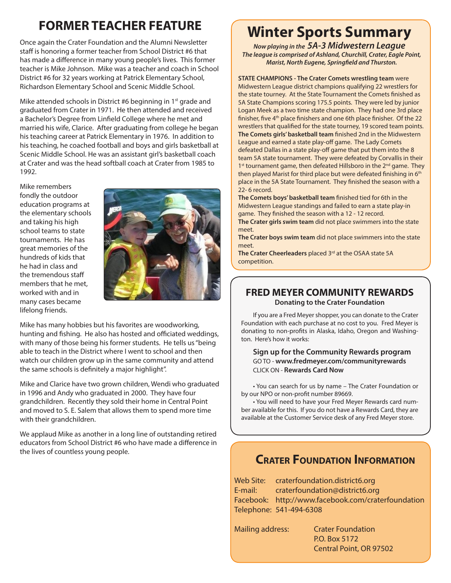## **FORMER TEACHER FEATURE**

Once again the Crater Foundation and the Alumni Newsletter staff is honoring a former teacher from School District #6 that has made a difference in many young people's lives. This former teacher is Mike Johnson. Mike was a teacher and coach in School District #6 for 32 years working at Patrick Elementary School, Richardson Elementary School and Scenic Middle School.

Mike attended schools in District #6 beginning in 1<sup>st</sup> grade and graduated from Crater in 1971. He then attended and received a Bachelor's Degree from Linfield College where he met and married his wife, Clarice. After graduating from college he began his teaching career at Patrick Elementary in 1976. In addition to his teaching, he coached football and boys and girls basketball at Scenic Middle School. He was an assistant girl's basketball coach at Crater and was the head softball coach at Crater from 1985 to 1992.

Mike remembers fondly the outdoor education programs at the elementary schools and taking his high school teams to state tournaments. He has great memories of the hundreds of kids that he had in class and the tremendous staff members that he met, worked with and in many cases became lifelong friends.



Mike has many hobbies but his favorites are woodworking, hunting and fishing. He also has hosted and officiated weddings, with many of those being his former students. He tells us "being able to teach in the District where I went to school and then watch our children grow up in the same community and attend the same schools is definitely a major highlight".

Mike and Clarice have two grown children, Wendi who graduated in 1996 and Andy who graduated in 2000. They have four grandchildren. Recently they sold their home in Central Point and moved to S. E. Salem that allows them to spend more time with their grandchildren.

We applaud Mike as another in a long line of outstanding retired educators from School District #6 who have made a difference in the lives of countless young people.

## **Winter Sports Summary**

*Now playing in the 5A-3 Midwestern League The league is comprised of Ashland, Churchill, Crater, Eagle Point, Marist, North Eugene, Springfield and Thurston.*

**STATE CHAMPIONS - The Crater Comets wrestling team** were Midwestern League district champions qualifying 22 wrestlers for the state tourney. At the State Tournament the Comets finished as 5A State Champions scoring 175.5 points. They were led by junior Logan Meek as a two time state champion. They had one 3rd place finisher, five 4<sup>th</sup> place finishers and one 6th place finisher. Of the 22 wrestlers that qualified for the state tourney, 19 scored team points. **The Comets girls' basketball team** finished 2nd in the Midwestern League and earned a state play-off game. The Lady Comets defeated Dallas in a state play-off game that put them into the 8 team 5A state tournament. They were defeated by Corvallis in their 1<sup>st</sup> tournament game, then defeated Hillsboro in the 2<sup>nd</sup> game. They then played Marist for third place but were defeated finishing in 6<sup>th</sup> place in the 5A State Tournament. They finished the season with a 22- 6 record.

**The Comets boys' basketball team** finished tied for 6th in the Midwestern League standings and failed to earn a state play-in game. They finished the season with a 12 - 12 record.

**The Crater girls swim team** did not place swimmers into the state meet.

**The Crater boys swim team** did not place swimmers into the state meet.

The Crater Cheerleaders placed 3<sup>rd</sup> at the OSAA state 5A competition.

### **FRED MEYER COMMUNITY REWARDS Donating to the Crater Foundation**

If you are a Fred Meyer shopper, you can donate to the Crater Foundation with each purchase at no cost to you. Fred Meyer is donating to non-profits in Alaska, Idaho, Oregon and Washington. Here's how it works:

#### **Sign up for the Community Rewards program** GO TO - **www.fredmeyer.com/communityrewards** CLICK ON - **Rewards Card Now**

• You can search for us by name – The Crater Foundation or by our NPO or non-profit number 89669.

• You will need to have your Fred Meyer Rewards card number available for this. If you do not have a Rewards Card, they are available at the Customer Service desk of any Fred Meyer store.

### **Crater Foundation Information**

Web Site: craterfoundation.district6.org E-mail: craterfoundation@district6.org Facebook: http://www.facebook.com/craterfoundation Telephone: 541-494-6308

Mailing address: Crater Foundation P.O. Box 5172 Central Point, OR 97502